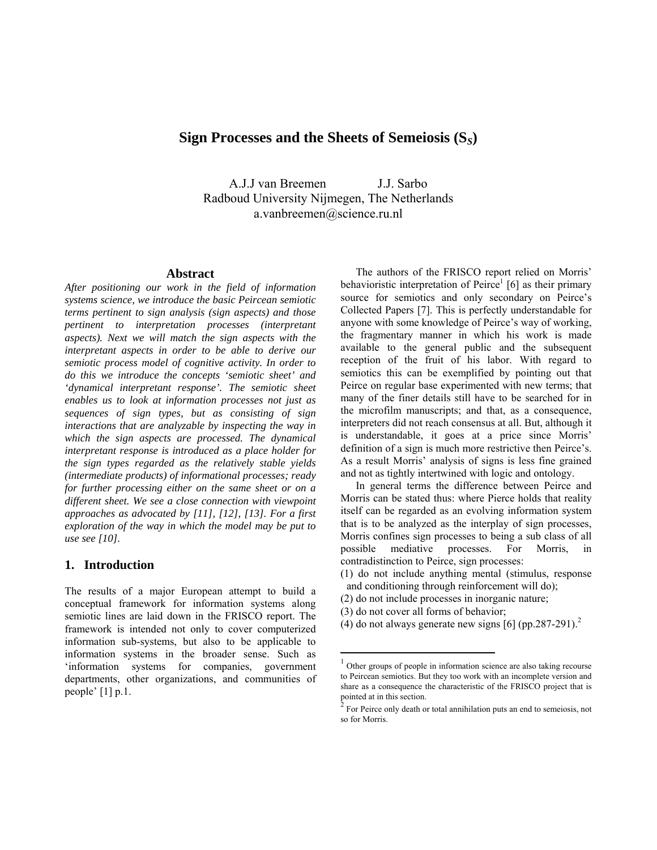# **Sign Processes and the Sheets of Semeiosis (S***S***)**

A.J.J van Breemen J.J. Sarbo Radboud University Nijmegen, The Netherlands a.vanbreemen@science.ru.nl

#### **Abstract**

*After positioning our work in the field of information systems science, we introduce the basic Peircean semiotic terms pertinent to sign analysis (sign aspects) and those pertinent to interpretation processes (interpretant aspects). Next we will match the sign aspects with the interpretant aspects in order to be able to derive our semiotic process model of cognitive activity. In order to do this we introduce the concepts 'semiotic sheet' and 'dynamical interpretant response'. The semiotic sheet enables us to look at information processes not just as sequences of sign types, but as consisting of sign interactions that are analyzable by inspecting the way in which the sign aspects are processed. The dynamical interpretant response is introduced as a place holder for the sign types regarded as the relatively stable yields (intermediate products) of informational processes; ready for further processing either on the same sheet or on a different sheet. We see a close connection with viewpoint approaches as advocated by [11], [12], [13]. For a first exploration of the way in which the model may be put to use see [10].* 

### **1. Introduction**

The results of a major European attempt to build a conceptual framework for information systems along semiotic lines are laid down in the FRISCO report. The framework is intended not only to cover computerized information sub-systems, but also to be applicable to information systems in the broader sense. Such as 'information systems for companies, government departments, other organizations, and communities of people' [1] p.1.

The authors of the FRISCO report relied on Morris' behavioristic interpretation of  $Peirce<sup>1</sup>$  [6] as their primary source for semiotics and only secondary on Peirce's Collected Papers [7]. This is perfectly understandable for anyone with some knowledge of Peirce's way of working, the fragmentary manner in which his work is made available to the general public and the subsequent reception of the fruit of his labor. With regard to semiotics this can be exemplified by pointing out that Peirce on regular base experimented with new terms; that many of the finer details still have to be searched for in the microfilm manuscripts; and that, as a consequence, interpreters did not reach consensus at all. But, although it is understandable, it goes at a price since Morris' definition of a sign is much more restrictive then Peirce's. As a result Morris' analysis of signs is less fine grained and not as tightly intertwined with logic and ontology.

In general terms the difference between Peirce and Morris can be stated thus: where Pierce holds that reality itself can be regarded as an evolving information system that is to be analyzed as the interplay of sign processes, Morris confines sign processes to being a sub class of all possible mediative processes. For Morris, in contradistinction to Peirce, sign processes:

- (1) do not include anything mental (stimulus, response and conditioning through reinforcement will do);
- (2) do not include processes in inorganic nature;
- (3) do not cover all forms of behavior;

1

(4) do not always generate new signs  $[6]$  (pp.[2](#page-0-1)87-291).<sup>2</sup>

<span id="page-0-0"></span><sup>&</sup>lt;sup>1</sup> Other groups of people in information science are also taking recourse to Peircean semiotics. But they too work with an incomplete version and share as a consequence the characteristic of the FRISCO project that is pointed at in this section.

<span id="page-0-1"></span> $2^2$  For Peirce only death or total annihilation puts an end to semeiosis, not so for Morris.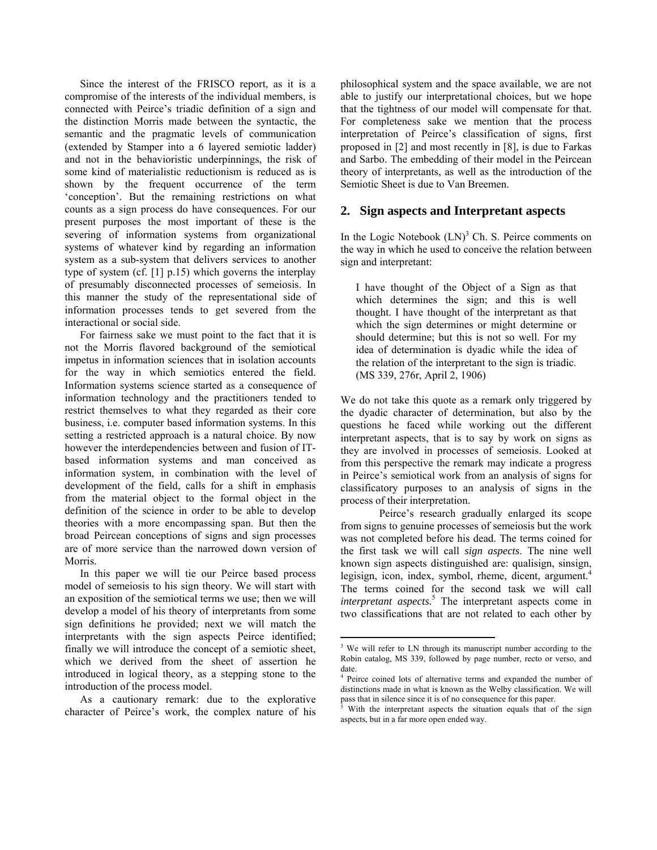Since the interest of the FRISCO report, as it is a compromise of the interests of the individual members, is connected with Peirce's triadic definition of a sign and the distinction Morris made between the syntactic, the semantic and the pragmatic levels of communication (extended by Stamper into a 6 layered semiotic ladder) and not in the behavioristic underpinnings, the risk of some kind of materialistic reductionism is reduced as is shown by the frequent occurrence of the term 'conception'. But the remaining restrictions on what counts as a sign process do have consequences. For our present purposes the most important of these is the severing of information systems from organizational systems of whatever kind by regarding an information system as a sub-system that delivers services to another type of system (cf. [1] p.15) which governs the interplay of presumably disconnected processes of semeiosis. In this manner the study of the representational side of information processes tends to get severed from the interactional or social side.

For fairness sake we must point to the fact that it is not the Morris flavored background of the semiotical impetus in information sciences that in isolation accounts for the way in which semiotics entered the field. Information systems science started as a consequence of information technology and the practitioners tended to restrict themselves to what they regarded as their core business, i.e. computer based information systems. In this setting a restricted approach is a natural choice. By now however the interdependencies between and fusion of ITbased information systems and man conceived as information system, in combination with the level of development of the field, calls for a shift in emphasis from the material object to the formal object in the definition of the science in order to be able to develop theories with a more encompassing span. But then the broad Peircean conceptions of signs and sign processes are of more service than the narrowed down version of Morris.

In this paper we will tie our Peirce based process model of semeiosis to his sign theory. We will start with an exposition of the semiotical terms we use; then we will develop a model of his theory of interpretants from some sign definitions he provided; next we will match the interpretants with the sign aspects Peirce identified; finally we will introduce the concept of a semiotic sheet, which we derived from the sheet of assertion he introduced in logical theory, as a stepping stone to the introduction of the process model.

As a cautionary remark: due to the explorative character of Peirce's work, the complex nature of his philosophical system and the space available, we are not able to justify our interpretational choices, but we hope that the tightness of our model will compensate for that. For completeness sake we mention that the process interpretation of Peirce's classification of signs, first proposed in [2] and most recently in [8], is due to Farkas and Sarbo. The embedding of their model in the Peircean theory of interpretants, as well as the introduction of the Semiotic Sheet is due to Van Breemen.

### **2. Sign aspects and Interpretant aspects**

In the Logic Notebook  $(LN)^3$  $(LN)^3$  Ch. S. Peirce comments on the way in which he used to conceive the relation between sign and interpretant:

I have thought of the Object of a Sign as that which determines the sign; and this is well thought. I have thought of the interpretant as that which the sign determines or might determine or should determine; but this is not so well. For my idea of determination is dyadic while the idea of the relation of the interpretant to the sign is triadic. (MS 339, 276r, April 2, 1906)

We do not take this quote as a remark only triggered by the dyadic character of determination, but also by the questions he faced while working out the different interpretant aspects, that is to say by work on signs as they are involved in processes of semeiosis. Looked at from this perspective the remark may indicate a progress in Peirce's semiotical work from an analysis of signs for classificatory purposes to an analysis of signs in the process of their interpretation.

Peirce's research gradually enlarged its scope from signs to genuine processes of semeiosis but the work was not completed before his dead. The terms coined for the first task we will call *sign aspects*. The nine well known sign aspects distinguished are: qualisign, sinsign, legisign, icon, index, symbol, rheme, dicent, argument.<sup>4</sup> The terms coined for the second task we will call *interpretant aspects.*<sup>[5](#page-1-2)</sup> The interpretant aspects come in two classifications that are not related to each other by

1

<span id="page-1-0"></span><sup>&</sup>lt;sup>3</sup> We will refer to LN through its manuscript number according to the Robin catalog, MS 339, followed by page number, recto or verso, and date.

<span id="page-1-1"></span><sup>4</sup> Peirce coined lots of alternative terms and expanded the number of distinctions made in what is known as the Welby classification. We will pass that in silence since it is of no consequence for this paper.

<span id="page-1-2"></span><sup>5</sup> With the interpretant aspects the situation equals that of the sign aspects, but in a far more open ended way.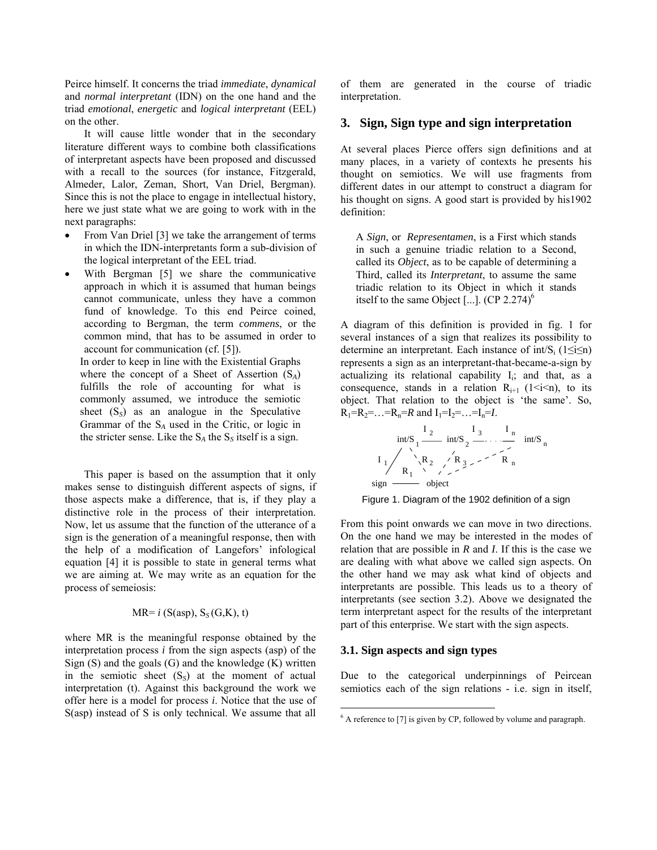Peirce himself. It concerns the triad *immediate*, *dynamical* and *normal interpretant* (IDN) on the one hand and the triad *emotional*, *energetic* and *logical interpretant* (EEL) on the other.

It will cause little wonder that in the secondary literature different ways to combine both classifications of interpretant aspects have been proposed and discussed with a recall to the sources (for instance, Fitzgerald, Almeder, Lalor, Zeman, Short, Van Driel, Bergman). Since this is not the place to engage in intellectual history, here we just state what we are going to work with in the next paragraphs:

- From Van Driel [3] we take the arrangement of terms in which the IDN-interpretants form a sub-division of the logical interpretant of the EEL triad.
- With Bergman [5] we share the communicative approach in which it is assumed that human beings cannot communicate, unless they have a common fund of knowledge. To this end Peirce coined, according to Bergman, the term *commens*, or the common mind, that has to be assumed in order to account for communication (cf. [5]).

In order to keep in line with the Existential Graphs where the concept of a Sheet of Assertion (S*A*) fulfills the role of accounting for what is commonly assumed, we introduce the semiotic sheet  $(S<sub>S</sub>)$  as an analogue in the Speculative Grammar of the S*A* used in the Critic, or logic in the stricter sense. Like the  $S_A$  the  $S_S$  itself is a sign.

This paper is based on the assumption that it only makes sense to distinguish different aspects of signs, if those aspects make a difference, that is, if they play a distinctive role in the process of their interpretation. Now, let us assume that the function of the utterance of a sign is the generation of a meaningful response, then with the help of a modification of Langefors' infological equation [4] it is possible to state in general terms what we are aiming at. We may write as an equation for the process of semeiosis:

$$
MR = i (S(asp), S_S(G,K), t)
$$

where MR is the meaningful response obtained by the interpretation process *i* from the sign aspects (asp) of the Sign  $(S)$  and the goals  $(G)$  and the knowledge  $(K)$  written in the semiotic sheet  $(S<sub>S</sub>)$  at the moment of actual interpretation (t). Against this background the work we offer here is a model for process *i*. Notice that the use of S(asp) instead of S is only technical. We assume that all

of them are generated in the course of triadic interpretation.

## **3. Sign, Sign type and sign interpretation**

At several places Pierce offers sign definitions and at many places, in a variety of contexts he presents his thought on semiotics. We will use fragments from different dates in our attempt to construct a diagram for his thought on signs. A good start is provided by his1902 definition:

A *Sign*, or *Representamen*, is a First which stands in such a genuine triadic relation to a Second, called its *Object*, as to be capable of determining a Third, called its *Interpretant*, to assume the same triadic relation to its Object in which it stands itself to the same Object [...]. (CP  $2.274$ )<sup>6</sup>

A diagram of this definition is provided in fig. 1 for several instances of a sign that realizes its possibility to determine an interpretant. Each instance of int/S<sub>i</sub>  $(1 \le i \le n)$ represents a sign as an interpretant-that-became-a-sign by actualizing its relational capability  $I_i$ ; and that, as a consequence, stands in a relation  $R_{i+1}$  (1 < i < n), to its object. That relation to the object is 'the same'. So,  $R_1=R_2=...=R_n=R$  and  $I_1=I_2=...=I_n=I$ .



Figure 1. Diagram of the 1902 definition of a sign

From this point onwards we can move in two directions. On the one hand we may be interested in the modes of relation that are possible in *R* and *I*. If this is the case we are dealing with what above we called sign aspects. On the other hand we may ask what kind of objects and interpretants are possible. This leads us to a theory of interpretants (see section 3.2). Above we designated the term interpretant aspect for the results of the interpretant part of this enterprise. We start with the sign aspects.

#### **3.1. Sign aspects and sign types**

1

Due to the categorical underpinnings of Peircean semiotics each of the sign relations - i.e. sign in itself,

<span id="page-2-0"></span> $6$  A reference to [7] is given by CP, followed by volume and paragraph.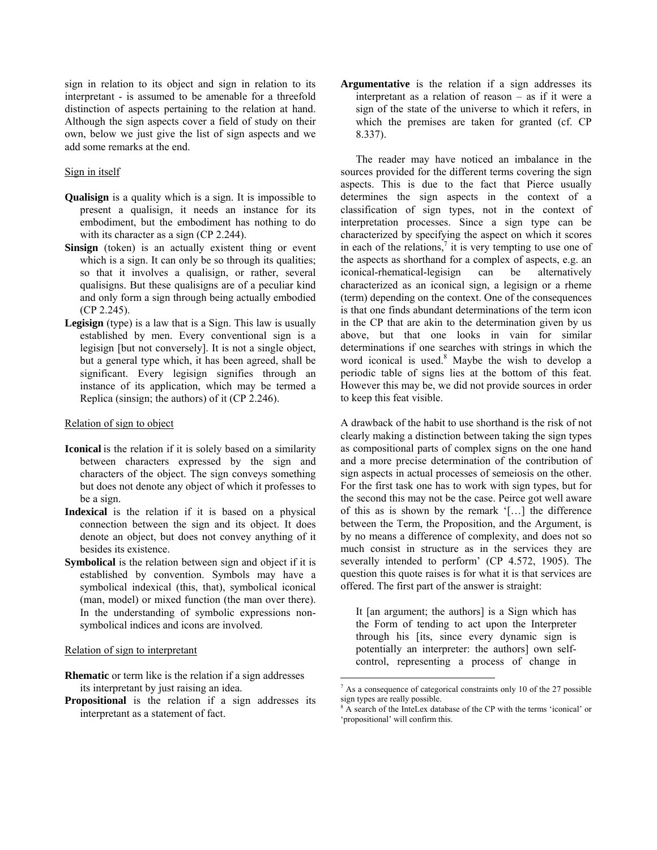sign in relation to its object and sign in relation to its interpretant - is assumed to be amenable for a threefold distinction of aspects pertaining to the relation at hand. Although the sign aspects cover a field of study on their own, below we just give the list of sign aspects and we add some remarks at the end.

#### Sign in itself

- **Qualisign** is a quality which is a sign. It is impossible to present a qualisign, it needs an instance for its embodiment, but the embodiment has nothing to do with its character as a sign (CP 2.244).
- Sinsign (token) is an actually existent thing or event which is a sign. It can only be so through its qualities; so that it involves a qualisign, or rather, several qualisigns. But these qualisigns are of a peculiar kind and only form a sign through being actually embodied (CP 2.245).
- **Legisign** (type) is a law that is a Sign. This law is usually established by men. Every conventional sign is a legisign [but not conversely]. It is not a single object, but a general type which, it has been agreed, shall be significant. Every legisign signifies through an instance of its application, which may be termed a Replica (sinsign; the authors) of it (CP 2.246).

#### Relation of sign to object

- **Iconical** is the relation if it is solely based on a similarity between characters expressed by the sign and characters of the object. The sign conveys something but does not denote any object of which it professes to be a sign.
- **Indexical** is the relation if it is based on a physical connection between the sign and its object. It does denote an object, but does not convey anything of it besides its existence.
- **Symbolical** is the relation between sign and object if it is established by convention. Symbols may have a symbolical indexical (this, that), symbolical iconical (man, model) or mixed function (the man over there). In the understanding of symbolic expressions nonsymbolical indices and icons are involved.

#### Relation of sign to interpretant

- **Rhematic** or term like is the relation if a sign addresses its interpretant by just raising an idea.
- **Propositional** is the relation if a sign addresses its interpretant as a statement of fact.

**Argumentative** is the relation if a sign addresses its interpretant as a relation of reason – as if it were a sign of the state of the universe to which it refers, in which the premises are taken for granted (cf. CP 8.337).

The reader may have noticed an imbalance in the sources provided for the different terms covering the sign aspects. This is due to the fact that Pierce usually determines the sign aspects in the context of a classification of sign types, not in the context of interpretation processes. Since a sign type can be characterized by specifying the aspect on which it scores in each of the relations, $\frac{7}{1}$  it is very tempting to use one of the aspects as shorthand for a complex of aspects, e.g. an iconical-rhematical-legisign can be alternatively characterized as an iconical sign, a legisign or a rheme (term) depending on the context. One of the consequences is that one finds abundant determinations of the term icon in the CP that are akin to the determination given by us above, but that one looks in vain for similar determinations if one searches with strings in which the word iconical is used.<sup>[8](#page-3-1)</sup> Maybe the wish to develop a periodic table of signs lies at the bottom of this feat. However this may be, we did not provide sources in order to keep this feat visible.

A drawback of the habit to use shorthand is the risk of not clearly making a distinction between taking the sign types as compositional parts of complex signs on the one hand and a more precise determination of the contribution of sign aspects in actual processes of semeiosis on the other. For the first task one has to work with sign types, but for the second this may not be the case. Peirce got well aware of this as is shown by the remark '[…] the difference between the Term, the Proposition, and the Argument, is by no means a difference of complexity, and does not so much consist in structure as in the services they are severally intended to perform' (CP 4.572, 1905). The question this quote raises is for what it is that services are offered. The first part of the answer is straight:

It [an argument; the authors] is a Sign which has the Form of tending to act upon the Interpreter through his [its, since every dynamic sign is potentially an interpreter: the authors] own selfcontrol, representing a process of change in

<u>.</u>

<span id="page-3-0"></span><sup>&</sup>lt;sup>7</sup> As a consequence of categorical constraints only 10 of the 27 possible sign types are really possible.

<span id="page-3-1"></span><sup>8</sup> A search of the InteLex database of the CP with the terms 'iconical' or 'propositional' will confirm this.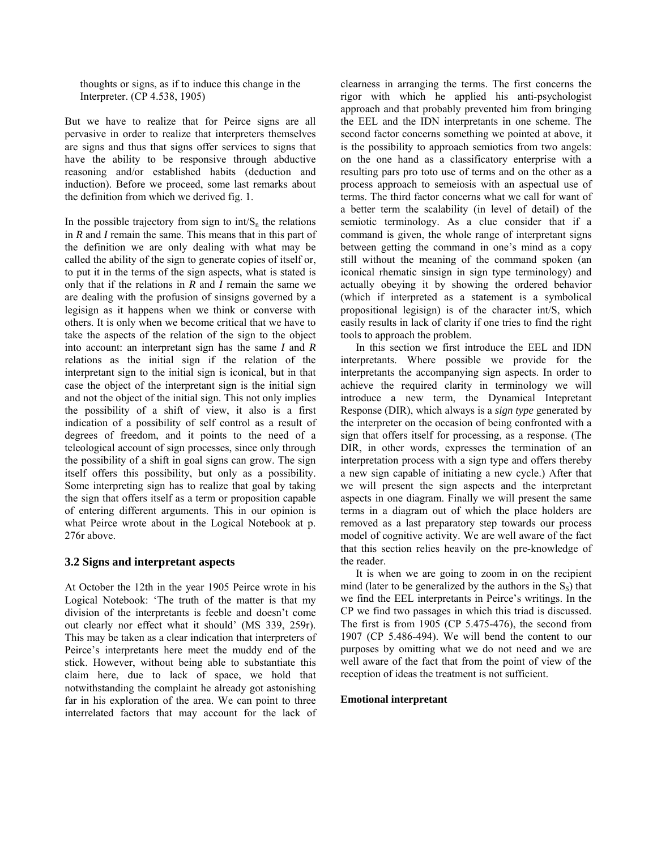thoughts or signs, as if to induce this change in the Interpreter. (CP 4.538, 1905)

But we have to realize that for Peirce signs are all pervasive in order to realize that interpreters themselves are signs and thus that signs offer services to signs that have the ability to be responsive through abductive reasoning and/or established habits (deduction and induction). Before we proceed, some last remarks about the definition from which we derived fig. 1.

In the possible trajectory from sign to  $int/S_n$  the relations in *R* and *I* remain the same. This means that in this part of the definition we are only dealing with what may be called the ability of the sign to generate copies of itself or, to put it in the terms of the sign aspects, what is stated is only that if the relations in *R* and *I* remain the same we are dealing with the profusion of sinsigns governed by a legisign as it happens when we think or converse with others. It is only when we become critical that we have to take the aspects of the relation of the sign to the object into account: an interpretant sign has the same *I* and *R* relations as the initial sign if the relation of the interpretant sign to the initial sign is iconical, but in that case the object of the interpretant sign is the initial sign and not the object of the initial sign. This not only implies the possibility of a shift of view, it also is a first indication of a possibility of self control as a result of degrees of freedom, and it points to the need of a teleological account of sign processes, since only through the possibility of a shift in goal signs can grow. The sign itself offers this possibility, but only as a possibility. Some interpreting sign has to realize that goal by taking the sign that offers itself as a term or proposition capable of entering different arguments. This in our opinion is what Peirce wrote about in the Logical Notebook at p. 276r above.

### **3.2 Signs and interpretant aspects**

At October the 12th in the year 1905 Peirce wrote in his Logical Notebook: 'The truth of the matter is that my division of the interpretants is feeble and doesn't come out clearly nor effect what it should' (MS 339, 259r). This may be taken as a clear indication that interpreters of Peirce's interpretants here meet the muddy end of the stick. However, without being able to substantiate this claim here, due to lack of space, we hold that notwithstanding the complaint he already got astonishing far in his exploration of the area. We can point to three interrelated factors that may account for the lack of clearness in arranging the terms. The first concerns the rigor with which he applied his anti-psychologist approach and that probably prevented him from bringing the EEL and the IDN interpretants in one scheme. The second factor concerns something we pointed at above, it is the possibility to approach semiotics from two angels: on the one hand as a classificatory enterprise with a resulting pars pro toto use of terms and on the other as a process approach to semeiosis with an aspectual use of terms. The third factor concerns what we call for want of a better term the scalability (in level of detail) of the semiotic terminology. As a clue consider that if a command is given, the whole range of interpretant signs between getting the command in one's mind as a copy still without the meaning of the command spoken (an iconical rhematic sinsign in sign type terminology) and actually obeying it by showing the ordered behavior (which if interpreted as a statement is a symbolical propositional legisign) is of the character int/S, which easily results in lack of clarity if one tries to find the right tools to approach the problem.

In this section we first introduce the EEL and IDN interpretants. Where possible we provide for the interpretants the accompanying sign aspects. In order to achieve the required clarity in terminology we will introduce a new term, the Dynamical Intepretant Response (DIR), which always is a *sign type* generated by the interpreter on the occasion of being confronted with a sign that offers itself for processing, as a response. (The DIR, in other words, expresses the termination of an interpretation process with a sign type and offers thereby a new sign capable of initiating a new cycle.) After that we will present the sign aspects and the interpretant aspects in one diagram. Finally we will present the same terms in a diagram out of which the place holders are removed as a last preparatory step towards our process model of cognitive activity. We are well aware of the fact that this section relies heavily on the pre-knowledge of the reader.

It is when we are going to zoom in on the recipient mind (later to be generalized by the authors in the S*S*) that we find the EEL interpretants in Peirce's writings. In the CP we find two passages in which this triad is discussed. The first is from 1905 (CP 5.475-476), the second from 1907 (CP 5.486-494). We will bend the content to our purposes by omitting what we do not need and we are well aware of the fact that from the point of view of the reception of ideas the treatment is not sufficient.

#### **Emotional interpretant**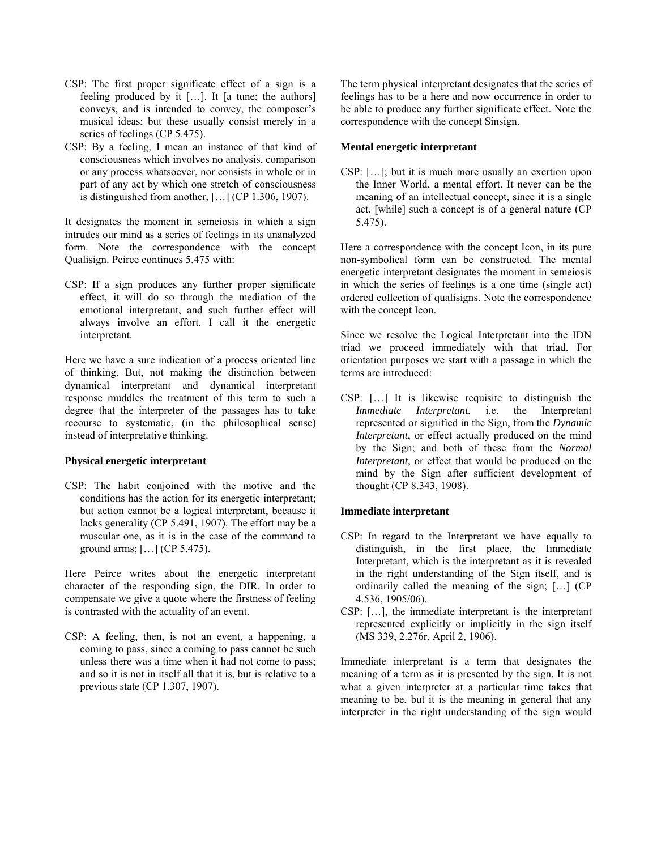- CSP: The first proper significate effect of a sign is a feeling produced by it […]. It [a tune; the authors] conveys, and is intended to convey, the composer's musical ideas; but these usually consist merely in a series of feelings (CP 5.475).
- CSP: By a feeling, I mean an instance of that kind of consciousness which involves no analysis, comparison or any process whatsoever, nor consists in whole or in part of any act by which one stretch of consciousness is distinguished from another, […] (CP 1.306, 1907).

It designates the moment in semeiosis in which a sign intrudes our mind as a series of feelings in its unanalyzed form. Note the correspondence with the concept Qualisign. Peirce continues 5.475 with:

CSP: If a sign produces any further proper significate effect, it will do so through the mediation of the emotional interpretant, and such further effect will always involve an effort. I call it the energetic interpretant.

Here we have a sure indication of a process oriented line of thinking. But, not making the distinction between dynamical interpretant and dynamical interpretant response muddles the treatment of this term to such a degree that the interpreter of the passages has to take recourse to systematic, (in the philosophical sense) instead of interpretative thinking.

#### **Physical energetic interpretant**

CSP: The habit conjoined with the motive and the conditions has the action for its energetic interpretant; but action cannot be a logical interpretant, because it lacks generality (CP 5.491, 1907). The effort may be a muscular one, as it is in the case of the command to ground arms; […] (CP 5.475).

Here Peirce writes about the energetic interpretant character of the responding sign, the DIR. In order to compensate we give a quote where the firstness of feeling is contrasted with the actuality of an event.

CSP: A feeling, then, is not an event, a happening, a coming to pass, since a coming to pass cannot be such unless there was a time when it had not come to pass; and so it is not in itself all that it is, but is relative to a previous state (CP 1.307, 1907).

The term physical interpretant designates that the series of feelings has to be a here and now occurrence in order to be able to produce any further significate effect. Note the correspondence with the concept Sinsign.

#### **Mental energetic interpretant**

CSP: […]; but it is much more usually an exertion upon the Inner World, a mental effort. It never can be the meaning of an intellectual concept, since it is a single act, [while] such a concept is of a general nature (CP 5.475).

Here a correspondence with the concept Icon, in its pure non-symbolical form can be constructed. The mental energetic interpretant designates the moment in semeiosis in which the series of feelings is a one time (single act) ordered collection of qualisigns. Note the correspondence with the concept Icon.

Since we resolve the Logical Interpretant into the IDN triad we proceed immediately with that triad. For orientation purposes we start with a passage in which the terms are introduced:

CSP: […] It is likewise requisite to distinguish the *Immediate Interpretant*, i.e. the Interpretant represented or signified in the Sign, from the *Dynamic Interpretant*, or effect actually produced on the mind by the Sign; and both of these from the *Normal Interpretant*, or effect that would be produced on the mind by the Sign after sufficient development of thought (CP 8.343, 1908).

#### **Immediate interpretant**

- CSP: In regard to the Interpretant we have equally to distinguish, in the first place, the Immediate Interpretant, which is the interpretant as it is revealed in the right understanding of the Sign itself, and is ordinarily called the meaning of the sign; […] (CP 4.536, 1905/06).
- CSP: […], the immediate interpretant is the interpretant represented explicitly or implicitly in the sign itself (MS 339, 2.276r, April 2, 1906).

Immediate interpretant is a term that designates the meaning of a term as it is presented by the sign. It is not what a given interpreter at a particular time takes that meaning to be, but it is the meaning in general that any interpreter in the right understanding of the sign would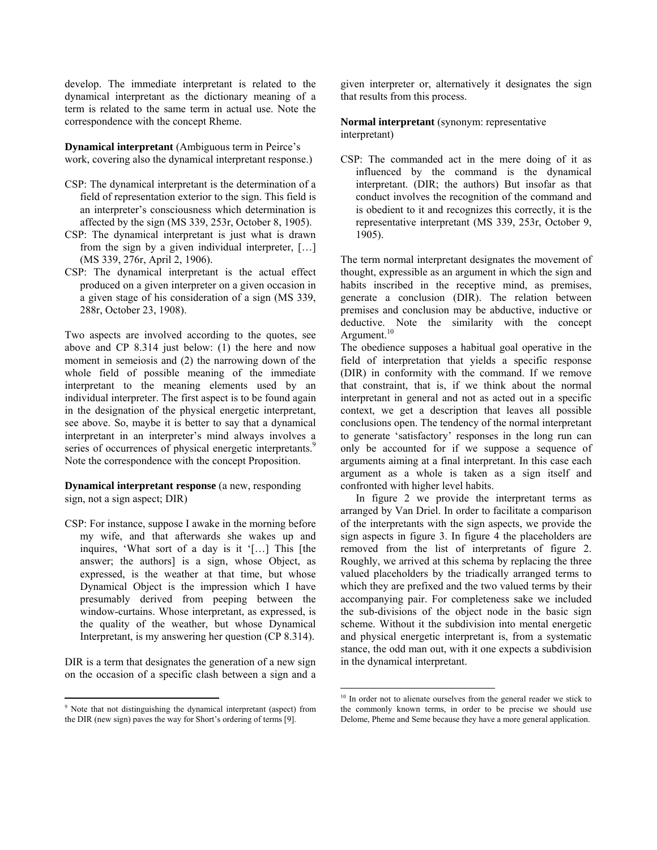develop. The immediate interpretant is related to the dynamical interpretant as the dictionary meaning of a term is related to the same term in actual use. Note the correspondence with the concept Rheme.

**Dynamical interpretant** (Ambiguous term in Peirce's work, covering also the dynamical interpretant response.)

- CSP: The dynamical interpretant is the determination of a field of representation exterior to the sign. This field is an interpreter's consciousness which determination is affected by the sign (MS 339, 253r, October 8, 1905).
- CSP: The dynamical interpretant is just what is drawn from the sign by a given individual interpreter, […] (MS 339, 276r, April 2, 1906).
- CSP: The dynamical interpretant is the actual effect produced on a given interpreter on a given occasion in a given stage of his consideration of a sign (MS 339, 288r, October 23, 1908).

Two aspects are involved according to the quotes, see above and CP 8.314 just below: (1) the here and now moment in semeiosis and (2) the narrowing down of the whole field of possible meaning of the immediate interpretant to the meaning elements used by an individual interpreter. The first aspect is to be found again in the designation of the physical energetic interpretant, see above. So, maybe it is better to say that a dynamical interpretant in an interpreter's mind always involves a series of occurrences of physical energetic interpretants.<sup>9</sup> Note the correspondence with the concept Proposition.

### **Dynamical interpretant response** (a new, responding sign, not a sign aspect; DIR)

CSP: For instance, suppose I awake in the morning before my wife, and that afterwards she wakes up and inquires, 'What sort of a day is it '[…] This [the answer; the authors] is a sign, whose Object, as expressed, is the weather at that time, but whose Dynamical Object is the impression which I have presumably derived from peeping between the window-curtains. Whose interpretant, as expressed, is the quality of the weather, but whose Dynamical Interpretant, is my answering her question (CP 8.314).

DIR is a term that designates the generation of a new sign on the occasion of a specific clash between a sign and a

 $\overline{a}$ 

given interpreter or, alternatively it designates the sign that results from this process.

#### **Normal interpretant** (synonym: representative interpretant)

CSP: The commanded act in the mere doing of it as influenced by the command is the dynamical interpretant. (DIR; the authors) But insofar as that conduct involves the recognition of the command and is obedient to it and recognizes this correctly, it is the representative interpretant (MS 339, 253r, October 9, 1905).

The term normal interpretant designates the movement of thought, expressible as an argument in which the sign and habits inscribed in the receptive mind, as premises, generate a conclusion (DIR). The relation between premises and conclusion may be abductive, inductive or deductive. Note the similarity with the concept Argument.<sup>10</sup>

The obedience supposes a habitual goal operative in the field of interpretation that yields a specific response (DIR) in conformity with the command. If we remove that constraint, that is, if we think about the normal interpretant in general and not as acted out in a specific context, we get a description that leaves all possible conclusions open. The tendency of the normal interpretant to generate 'satisfactory' responses in the long run can only be accounted for if we suppose a sequence of arguments aiming at a final interpretant. In this case each argument as a whole is taken as a sign itself and confronted with higher level habits.

In figure 2 we provide the interpretant terms as arranged by Van Driel. In order to facilitate a comparison of the interpretants with the sign aspects, we provide the sign aspects in figure 3. In figure 4 the placeholders are removed from the list of interpretants of figure 2. Roughly, we arrived at this schema by replacing the three valued placeholders by the triadically arranged terms to which they are prefixed and the two valued terms by their accompanying pair. For completeness sake we included the sub-divisions of the object node in the basic sign scheme. Without it the subdivision into mental energetic and physical energetic interpretant is, from a systematic stance, the odd man out, with it one expects a subdivision in the dynamical interpretant.

<span id="page-6-0"></span><sup>&</sup>lt;sup>9</sup> Note that not distinguishing the dynamical interpretant (aspect) from the DIR (new sign) paves the way for Short's ordering of terms [9].

<span id="page-6-1"></span><sup>&</sup>lt;sup>10</sup> In order not to alienate ourselves from the general reader we stick to the commonly known terms, in order to be precise we should use Delome, Pheme and Seme because they have a more general application.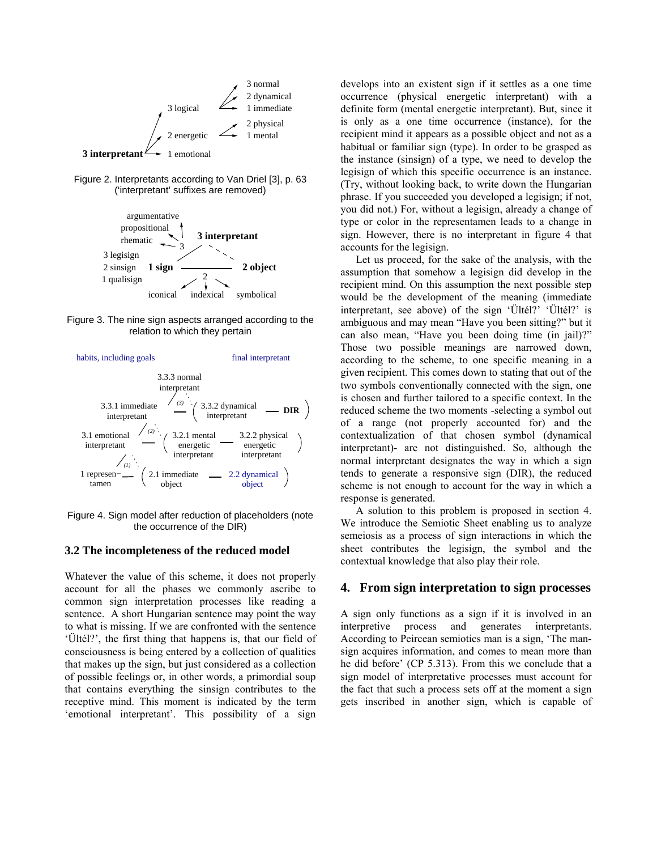

Figure 2. Interpretants according to Van Driel [3], p. 63 ('interpretant' suffixes are removed)



Figure 3. The nine sign aspects arranged according to the relation to which they pertain



Figure 4. Sign model after reduction of placeholders (note the occurrence of the DIR)

### **3.2 The incompleteness of the reduced model**

Whatever the value of this scheme, it does not properly account for all the phases we commonly ascribe to common sign interpretation processes like reading a sentence. A short Hungarian sentence may point the way to what is missing. If we are confronted with the sentence 'Ültél?', the first thing that happens is, that our field of consciousness is being entered by a collection of qualities that makes up the sign, but just considered as a collection of possible feelings or, in other words, a primordial soup that contains everything the sinsign contributes to the receptive mind. This moment is indicated by the term 'emotional interpretant'. This possibility of a sign

develops into an existent sign if it settles as a one time occurrence (physical energetic interpretant) with a definite form (mental energetic interpretant). But, since it is only as a one time occurrence (instance), for the recipient mind it appears as a possible object and not as a habitual or familiar sign (type). In order to be grasped as the instance (sinsign) of a type, we need to develop the legisign of which this specific occurrence is an instance. (Try, without looking back, to write down the Hungarian phrase. If you succeeded you developed a legisign; if not, you did not.) For, without a legisign, already a change of type or color in the representamen leads to a change in sign. However, there is no interpretant in figure 4 that accounts for the legisign.

Let us proceed, for the sake of the analysis, with the assumption that somehow a legisign did develop in the recipient mind. On this assumption the next possible step would be the development of the meaning (immediate interpretant, see above) of the sign 'Ültél?' 'Ültél?' is ambiguous and may mean "Have you been sitting?" but it can also mean, "Have you been doing time (in jail)?" Those two possible meanings are narrowed down, according to the scheme, to one specific meaning in a given recipient. This comes down to stating that out of the two symbols conventionally connected with the sign, one is chosen and further tailored to a specific context. In the reduced scheme the two moments -selecting a symbol out of a range (not properly accounted for) and the contextualization of that chosen symbol (dynamical interpretant)- are not distinguished. So, although the normal interpretant designates the way in which a sign tends to generate a responsive sign (DIR), the reduced scheme is not enough to account for the way in which a response is generated.

A solution to this problem is proposed in section 4. We introduce the Semiotic Sheet enabling us to analyze semeiosis as a process of sign interactions in which the sheet contributes the legisign, the symbol and the contextual knowledge that also play their role.

### **4. From sign interpretation to sign processes**

A sign only functions as a sign if it is involved in an interpretive process and generates interpretants. According to Peircean semiotics man is a sign, 'The mansign acquires information, and comes to mean more than he did before' (CP 5.313). From this we conclude that a sign model of interpretative processes must account for the fact that such a process sets off at the moment a sign gets inscribed in another sign, which is capable of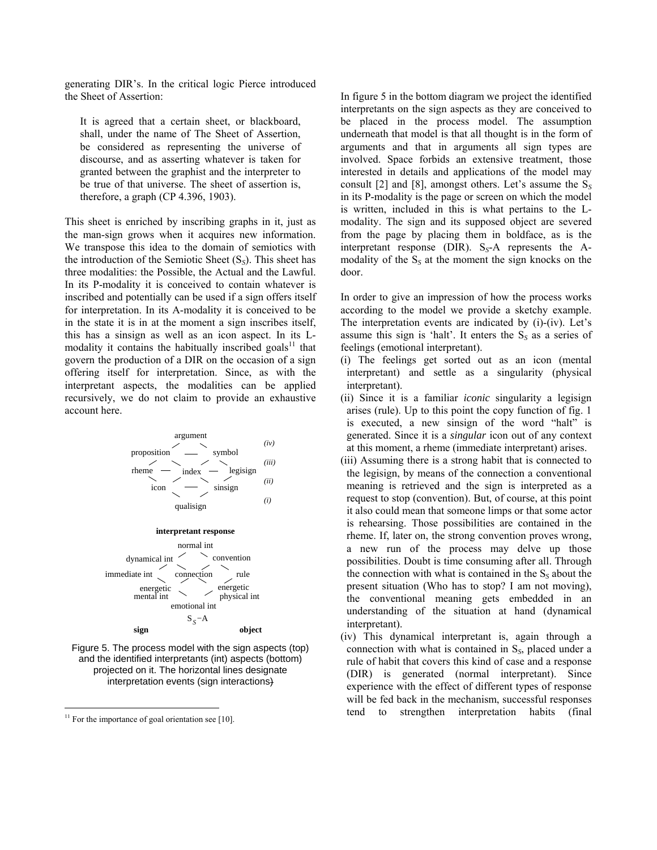generating DIR's. In the critical logic Pierce introduced the Sheet of Assertion:

It is agreed that a certain sheet, or blackboard, shall, under the name of The Sheet of Assertion, be considered as representing the universe of discourse, and as asserting whatever is taken for granted between the graphist and the interpreter to be true of that universe. The sheet of assertion is, therefore, a graph (CP 4.396, 1903).

This sheet is enriched by inscribing graphs in it, just as the man-sign grows when it acquires new information. We transpose this idea to the domain of semiotics with the introduction of the Semiotic Sheet (S*S*). This sheet has three modalities: the Possible, the Actual and the Lawful. In its P-modality it is conceived to contain whatever is inscribed and potentially can be used if a sign offers itself for interpretation. In its A-modality it is conceived to be in the state it is in at the moment a sign inscribes itself, this has a sinsign as well as an icon aspect. In its Lmodality it contains the habitually inscribed goals $11$  that govern the production of a DIR on the occasion of a sign offering itself for interpretation. Since, as with the interpretant aspects, the modalities can be applied recursively, we do not claim to provide an exhaustive account here.



Figure 5. The process model with the sign aspects (top) and the identified interpretants (int) aspects (bottom) projected on it. The horizontal lines designate interpretation events (sign interactions)

 $\overline{a}$ 

In figure 5 in the bottom diagram we project the identified interpretants on the sign aspects as they are conceived to be placed in the process model. The assumption underneath that model is that all thought is in the form of arguments and that in arguments all sign types are involved. Space forbids an extensive treatment, those interested in details and applications of the model may consult [2] and [8], amongst others. Let's assume the S*<sup>S</sup>* in its P-modality is the page or screen on which the model is written, included in this is what pertains to the Lmodality. The sign and its supposed object are severed from the page by placing them in boldface, as is the interpretant response (DIR). S*S*-A represents the Amodality of the  $S<sub>S</sub>$  at the moment the sign knocks on the door.

In order to give an impression of how the process works according to the model we provide a sketchy example. The interpretation events are indicated by (i)-(iv). Let's assume this sign is 'halt'. It enters the  $S<sub>S</sub>$  as a series of feelings (emotional interpretant).

- (i) The feelings get sorted out as an icon (mental interpretant) and settle as a singularity (physical interpretant).
- (ii) Since it is a familiar *iconic* singularity a legisign arises (rule). Up to this point the copy function of fig. 1 is executed, a new sinsign of the word "halt" is generated. Since it is a *singular* icon out of any context at this moment, a rheme (immediate interpretant) arises.
- (iii) Assuming there is a strong habit that is connected to the legisign, by means of the connection a conventional meaning is retrieved and the sign is interpreted as a request to stop (convention). But, of course, at this point it also could mean that someone limps or that some actor is rehearsing. Those possibilities are contained in the rheme. If, later on, the strong convention proves wrong, a new run of the process may delve up those possibilities. Doubt is time consuming after all. Through the connection with what is contained in the S*S* about the present situation (Who has to stop? I am not moving), the conventional meaning gets embedded in an understanding of the situation at hand (dynamical interpretant).
- (iv) This dynamical interpretant is, again through a connection with what is contained in S*S*, placed under a rule of habit that covers this kind of case and a response (DIR) is generated (normal interpretant). Since experience with the effect of different types of response will be fed back in the mechanism, successful responses tend to strengthen interpretation habits (final

<span id="page-8-0"></span> $11$  For the importance of goal orientation see [10].